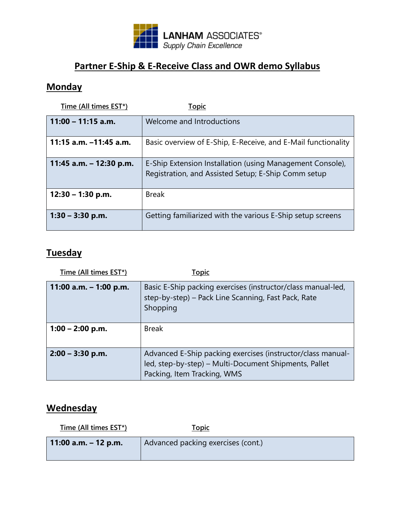

# **Partner E-Ship & E-Receive Class and OWR demo Syllabus**

## **Monday**

| Time (All times EST*)     | <b>Topic</b>                                                                                                     |
|---------------------------|------------------------------------------------------------------------------------------------------------------|
| $11:00 - 11:15$ a.m.      | Welcome and Introductions                                                                                        |
| 11:15 a.m. -11:45 a.m.    | Basic overview of E-Ship, E-Receive, and E-Mail functionality                                                    |
| 11:45 a.m. $-$ 12:30 p.m. | E-Ship Extension Installation (using Management Console),<br>Registration, and Assisted Setup; E-Ship Comm setup |
| $12:30 - 1:30$ p.m.       | <b>Break</b>                                                                                                     |
| $1:30 - 3:30$ p.m.        | Getting familiarized with the various E-Ship setup screens                                                       |

## **Tuesday**

| Time (All times EST*)    | <u>Topic</u>                                                                                                                                        |
|--------------------------|-----------------------------------------------------------------------------------------------------------------------------------------------------|
| 11:00 a.m. $-$ 1:00 p.m. | Basic E-Ship packing exercises (instructor/class manual-led,<br>step-by-step) – Pack Line Scanning, Fast Pack, Rate<br>Shopping                     |
| $1:00 - 2:00$ p.m.       | <b>Break</b>                                                                                                                                        |
| $2:00 - 3:30$ p.m.       | Advanced E-Ship packing exercises (instructor/class manual-<br>led, step-by-step) – Multi-Document Shipments, Pallet<br>Packing, Item Tracking, WMS |

## **Wednesday**

| Time (All times EST*)  | <u>Topic</u>                       |
|------------------------|------------------------------------|
| 11:00 a.m. $-$ 12 p.m. | Advanced packing exercises (cont.) |